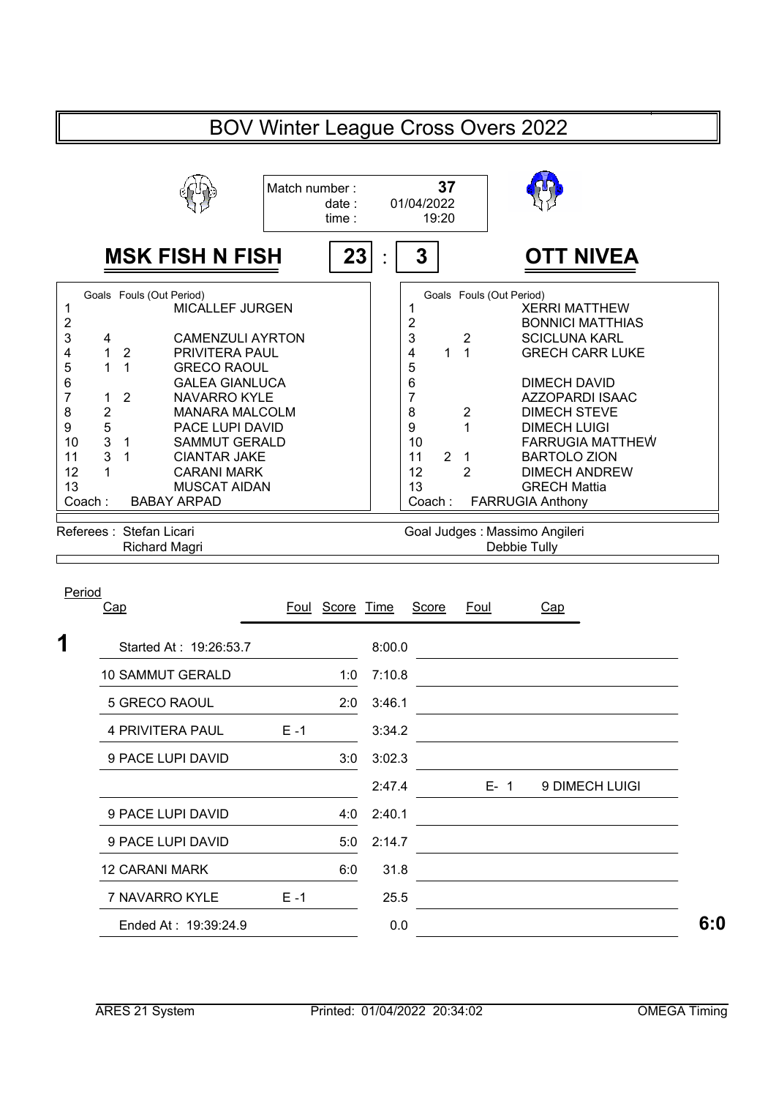## BOV Winter League Cross Overs 2022

|                              |   |                | Match number:<br>date:<br>time : | 01/04/2022                    | 37<br>19:20    |                |                                                 |  |  |  |
|------------------------------|---|----------------|----------------------------------|-------------------------------|----------------|----------------|-------------------------------------------------|--|--|--|
|                              |   |                | <b>MSK FISH N FISH</b><br>23     | 3                             |                |                | <b>OTT NIVEA</b>                                |  |  |  |
|                              |   |                | Goals Fouls (Out Period)         | Goals Fouls (Out Period)      |                |                |                                                 |  |  |  |
| 2                            |   |                | MICALLEF JURGEN                  | $\overline{c}$                |                |                | <b>XERRI MATTHEW</b><br><b>BONNICI MATTHIAS</b> |  |  |  |
| 3                            | 4 |                | <b>CAMENZULI AYRTON</b>          | 3                             |                | 2              | <b>SCICLUNA KARL</b>                            |  |  |  |
| 4                            |   | $\overline{2}$ | <b>PRIVITERA PAUL</b>            | 4                             |                | 1              | <b>GRECH CARR LUKE</b>                          |  |  |  |
| 5                            | 1 | 1              | <b>GRECO RAOUL</b>               | 5                             |                |                |                                                 |  |  |  |
| 6                            |   |                | <b>GALEA GIANLUCA</b>            | 6                             |                |                | <b>DIMECH DAVID</b>                             |  |  |  |
| 7                            | 1 | 2              | <b>NAVARRO KYLE</b>              | 7                             |                |                | AZZOPARDI ISAAC                                 |  |  |  |
| 8                            | 2 |                | MANARA MALCOLM                   | 8                             |                | 2              | <b>DIMECH STEVE</b>                             |  |  |  |
| 9                            | 5 |                | <b>PACE LUPI DAVID</b>           | 9                             |                |                | <b>DIMECH LUIGI</b>                             |  |  |  |
| 10                           | 3 | $\mathbf{1}$   | <b>SAMMUT GERALD</b>             | 10                            |                |                | <b>FARRUGIA MATTHEW</b>                         |  |  |  |
| 11                           | 3 |                | <b>CIANTAR JAKE</b>              | 11                            | $\overline{2}$ | 1              | <b>BARTOLO ZION</b>                             |  |  |  |
| 12                           |   |                | <b>CARANI MARK</b>               | 12                            |                | $\overline{2}$ | <b>DIMECH ANDREW</b>                            |  |  |  |
| 13                           |   |                | <b>MUSCAT AIDAN</b>              | 13                            |                |                | <b>GRECH Mattia</b>                             |  |  |  |
| Coach:<br><b>BABAY ARPAD</b> |   |                |                                  | Coach:                        |                |                | <b>FARRUGIA Anthony</b>                         |  |  |  |
|                              |   |                |                                  |                               |                |                |                                                 |  |  |  |
|                              |   |                | Referees : Stefan Licari         | Goal Judges: Massimo Angileri |                |                |                                                 |  |  |  |
|                              |   |                | Richard Magri                    | Debbie Tully                  |                |                |                                                 |  |  |  |

| <u>Cap</u>              |         | Foul Score Time |        | Score | <b>Foul</b> | Cap            |
|-------------------------|---------|-----------------|--------|-------|-------------|----------------|
| Started At: 19:26:53.7  |         |                 | 8:00.0 |       |             |                |
| <b>10 SAMMUT GERALD</b> |         | 1:0             | 7:10.8 |       |             |                |
| 5 GRECO RAOUL           |         | 2:0             | 3:46.1 |       |             |                |
| 4 PRIVITERA PAUL        | $E - 1$ |                 | 3:34.2 |       |             |                |
| 9 PACE LUPI DAVID       |         | 3:0             | 3:02.3 |       |             |                |
|                         |         |                 | 2:47.4 |       | $E - 1$     | 9 DIMECH LUIGI |
| 9 PACE LUPI DAVID       |         | 4:0             | 2:40.1 |       |             |                |
| 9 PACE LUPI DAVID       |         | 5:0             | 2:14.7 |       |             |                |
| <b>12 CARANI MARK</b>   |         | 6:0             | 31.8   |       |             |                |
| 7 NAVARRO KYLE          | $E - 1$ |                 | 25.5   |       |             |                |
| Ended At: 19:39:24.9    |         |                 | 0.0    |       |             |                |
|                         |         |                 |        |       |             |                |

Period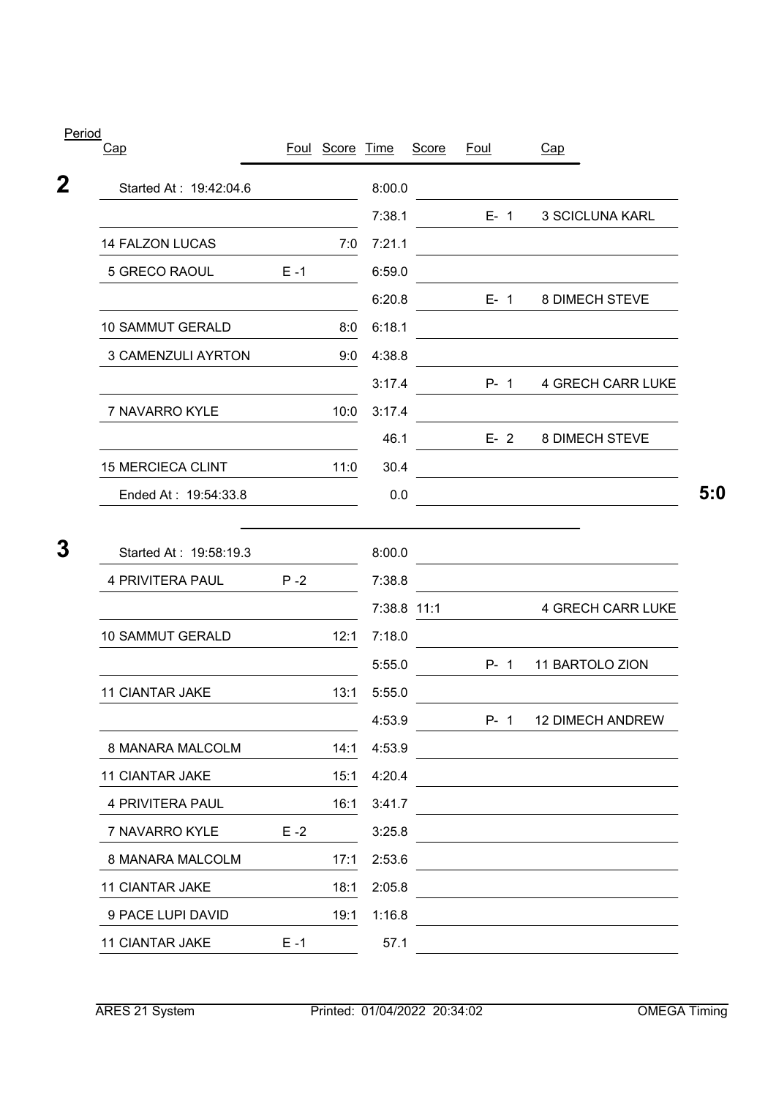| <u>L CHUU</u><br>Cap                       |         | Foul Score Time |                  | Score | <b>Foul</b> | Cap                                                                                                                  |
|--------------------------------------------|---------|-----------------|------------------|-------|-------------|----------------------------------------------------------------------------------------------------------------------|
| Started At: 19:42:04.6                     |         |                 | 8:00.0           |       |             |                                                                                                                      |
|                                            |         |                 | 7:38.1           |       | $E - 1$     | 3 SCICLUNA KARL                                                                                                      |
| 14 FALZON LUCAS                            |         | 7:0             | 7:21.1           |       |             | <u> 1989 - Johann Stein, marwolaethau a bhann an t-Amhair an t-Amhair an t-Amhair an t-Amhair an t-Amhair an t-A</u> |
| 5 GRECO RAOUL                              | $E - 1$ |                 | 6:59.0           |       |             |                                                                                                                      |
|                                            |         |                 | 6:20.8           |       | $E - 1$     | 8 DIMECH STEVE                                                                                                       |
| <b>10 SAMMUT GERALD</b>                    |         | 8:0             | 6:18.1           |       |             |                                                                                                                      |
| <b>3 CAMENZULI AYRTON</b>                  |         | 9:0             | 4:38.8           |       |             |                                                                                                                      |
|                                            |         |                 | 3:17.4           |       | $P - 1$     | <b>4 GRECH CARR LUKE</b>                                                                                             |
| 7 NAVARRO KYLE                             |         | 10:0            | 3:17.4           |       |             |                                                                                                                      |
|                                            |         |                 | 46.1             |       | $E - 2$     | 8 DIMECH STEVE                                                                                                       |
| <b>15 MERCIECA CLINT</b>                   |         | 11:0            | 30.4             |       |             | <u> 1980 - Johann Barbara, martxa alemaniar a</u>                                                                    |
| Ended At: 19:54:33.8                       |         |                 | 0.0              |       |             |                                                                                                                      |
| Started At: 19:58:19.3<br>4 PRIVITERA PAUL | $P - 2$ |                 | 8:00.0<br>7:38.8 |       |             | <u> 1980 - Johann Barn, mars ann an t-Amhain Aonaich an t-Aonaich an t-Aonaich ann an t-Aonaich ann an t-Aonaich</u> |
|                                            |         |                 | 7:38.8 11:1      |       |             | <b>4 GRECH CARR LUKE</b>                                                                                             |
| <b>10 SAMMUT GERALD</b>                    |         | 12:1            | 7:18.0           |       |             |                                                                                                                      |
|                                            |         |                 | 5:55.0           |       | $P - 1$     | 11 BARTOLO ZION                                                                                                      |
| <b>11 CIANTAR JAKE</b>                     |         | 13:1            | 5:55.0           |       |             |                                                                                                                      |
|                                            |         |                 | 4:53.9           |       |             | P- 1 12 DIMECH ANDREW                                                                                                |
| 8 MANARA MALCOLM                           |         | 14:1            | 4:53.9           |       |             |                                                                                                                      |
| <b>11 CIANTAR JAKE</b>                     |         | 15:1            | 4:20.4           |       |             |                                                                                                                      |
| 4 PRIVITERA PAUL                           |         | 16:1            | 3:41.7           |       |             |                                                                                                                      |
| 7 NAVARRO KYLE                             | $E - 2$ |                 | 3:25.8           |       |             |                                                                                                                      |
| 8 MANARA MALCOLM                           |         | 17:1            | 2:53.6           |       |             |                                                                                                                      |
| <b>11 CIANTAR JAKE</b>                     |         | 18:1            | 2:05.8           |       |             |                                                                                                                      |
| 9 PACE LUPI DAVID                          |         | 19:1            | 1:16.8           |       |             |                                                                                                                      |
|                                            |         |                 |                  |       |             |                                                                                                                      |

Period